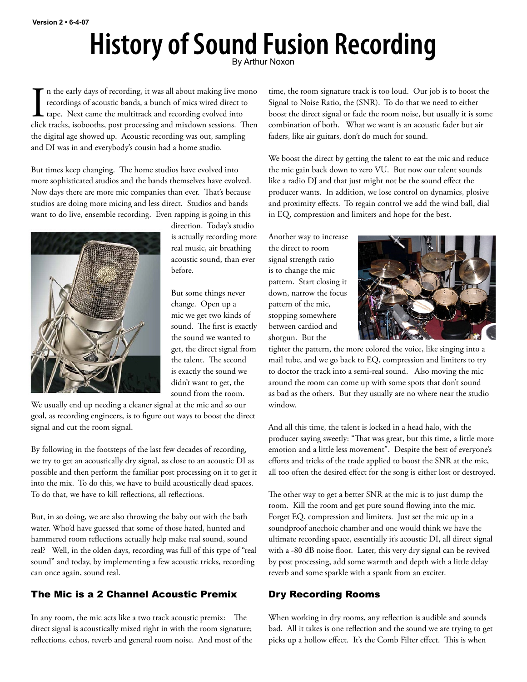# **History of Sound Fusion Recording**

In the early days of recording, it was all about making live mono recordings of acoustic bands, a bunch of mics wired direct to tape. Next came the multitrack and recording evolved into click tracks, isobooths, post proces n the early days of recording, it was all about making live mono recordings of acoustic bands, a bunch of mics wired direct to tape. Next came the multitrack and recording evolved into the digital age showed up. Acoustic recording was out, sampling and DI was in and everybody's cousin had a home studio.

But times keep changing. The home studios have evolved into more sophisticated studios and the bands themselves have evolved. Now days there are more mic companies than ever. That's because studios are doing more micing and less direct. Studios and bands want to do live, ensemble recording. Even rapping is going in this



direction. Today's studio is actually recording more real music, air breathing acoustic sound, than ever before.

But some things never change. Open up a mic we get two kinds of sound. The first is exactly the sound we wanted to get, the direct signal from the talent. The second is exactly the sound we didn't want to get, the sound from the room.

We usually end up needing a cleaner signal at the mic and so our goal, as recording engineers, is to figure out ways to boost the direct signal and cut the room signal.

By following in the footsteps of the last few decades of recording, we try to get an acoustically dry signal, as close to an acoustic DI as possible and then perform the familiar post processing on it to get it into the mix. To do this, we have to build acoustically dead spaces. To do that, we have to kill reflections, all reflections.

But, in so doing, we are also throwing the baby out with the bath water. Who'd have guessed that some of those hated, hunted and hammered room reflections actually help make real sound, sound real? Well, in the olden days, recording was full of this type of "real sound" and today, by implementing a few acoustic tricks, recording can once again, sound real.

# The Mic is a 2 Channel Acoustic Premix

In any room, the mic acts like a two track acoustic premix: The direct signal is acoustically mixed right in with the room signature; reflections, echos, reverb and general room noise. And most of the time, the room signature track is too loud. Our job is to boost the Signal to Noise Ratio, the (SNR). To do that we need to either boost the direct signal or fade the room noise, but usually it is some combination of both. What we want is an acoustic fader but air faders, like air guitars, don't do much for sound.

We boost the direct by getting the talent to eat the mic and reduce the mic gain back down to zero VU. But now our talent sounds like a radio DJ and that just might not be the sound effect the producer wants. In addition, we lose control on dynamics, plosive and proximity effects. To regain control we add the wind ball, dial in EQ, compression and limiters and hope for the best.

Another way to increase the direct to room signal strength ratio is to change the mic pattern. Start closing it down, narrow the focus pattern of the mic, stopping somewhere between cardiod and shotgun. But the



tighter the pattern, the more colored the voice, like singing into a mail tube, and we go back to EQ, compression and limiters to try to doctor the track into a semi-real sound. Also moving the mic around the room can come up with some spots that don't sound as bad as the others. But they usually are no where near the studio window.

And all this time, the talent is locked in a head halo, with the producer saying sweetly: "That was great, but this time, a little more emotion and a little less movement". Despite the best of everyone's efforts and tricks of the trade applied to boost the SNR at the mic, all too often the desired effect for the song is either lost or destroyed.

The other way to get a better SNR at the mic is to just dump the room. Kill the room and get pure sound flowing into the mic. Forget EQ, compression and limiters. Just set the mic up in a soundproof anechoic chamber and one would think we have the ultimate recording space, essentially it's acoustic DI, all direct signal with a -80 dB noise floor. Later, this very dry signal can be revived by post processing, add some warmth and depth with a little delay reverb and some sparkle with a spank from an exciter.

# Dry Recording Rooms

When working in dry rooms, any reflection is audible and sounds bad. All it takes is one reflection and the sound we are trying to get picks up a hollow effect. It's the Comb Filter effect. This is when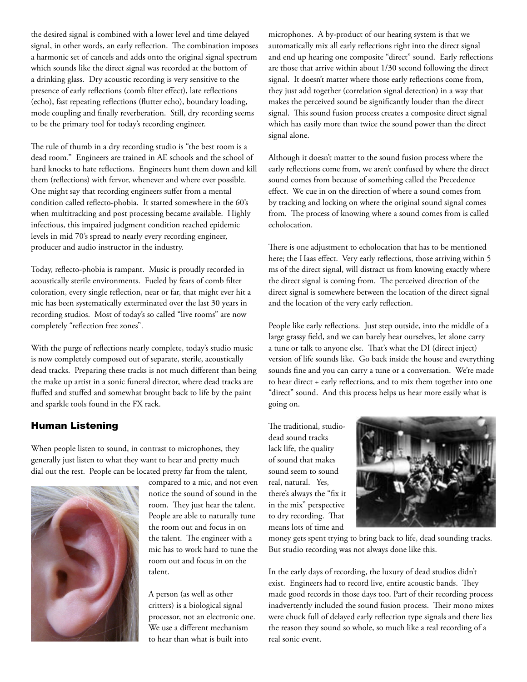the desired signal is combined with a lower level and time delayed signal, in other words, an early reflection. The combination imposes a harmonic set of cancels and adds onto the original signal spectrum which sounds like the direct signal was recorded at the bottom of a drinking glass. Dry acoustic recording is very sensitive to the presence of early reflections (comb filter effect), late reflections (echo), fast repeating reflections (flutter echo), boundary loading, mode coupling and finally reverberation. Still, dry recording seems to be the primary tool for today's recording engineer.

The rule of thumb in a dry recording studio is "the best room is a dead room." Engineers are trained in AE schools and the school of hard knocks to hate reflections. Engineers hunt them down and kill them (reflections) with fervor, whenever and where ever possible. One might say that recording engineers suffer from a mental condition called reflecto-phobia. It started somewhere in the 60's when multitracking and post processing became available. Highly infectious, this impaired judgment condition reached epidemic levels in mid 70's spread to nearly every recording engineer, producer and audio instructor in the industry.

Today, reflecto-phobia is rampant. Music is proudly recorded in acoustically sterile environments. Fueled by fears of comb filter coloration, every single reflection, near or far, that might ever hit a mic has been systematically exterminated over the last 30 years in recording studios. Most of today's so called "live rooms" are now completely "reflection free zones".

With the purge of reflections nearly complete, today's studio music is now completely composed out of separate, sterile, acoustically dead tracks. Preparing these tracks is not much different than being the make up artist in a sonic funeral director, where dead tracks are fluffed and stuffed and somewhat brought back to life by the paint and sparkle tools found in the FX rack.

## Human Listening

When people listen to sound, in contrast to microphones, they generally just listen to what they want to hear and pretty much dial out the rest. People can be located pretty far from the talent,



compared to a mic, and not even notice the sound of sound in the room. They just hear the talent. People are able to naturally tune the room out and focus in on the talent. The engineer with a mic has to work hard to tune the room out and focus in on the talent.

A person (as well as other critters) is a biological signal processor, not an electronic one. We use a different mechanism to hear than what is built into

microphones. A by-product of our hearing system is that we automatically mix all early reflections right into the direct signal and end up hearing one composite "direct" sound. Early reflections are those that arrive within about 1/30 second following the direct signal. It doesn't matter where those early reflections come from, they just add together (correlation signal detection) in a way that makes the perceived sound be significantly louder than the direct signal. This sound fusion process creates a composite direct signal which has easily more than twice the sound power than the direct signal alone.

Although it doesn't matter to the sound fusion process where the early reflections come from, we aren't confused by where the direct sound comes from because of something called the Precedence effect. We cue in on the direction of where a sound comes from by tracking and locking on where the original sound signal comes from. The process of knowing where a sound comes from is called echolocation.

There is one adjustment to echolocation that has to be mentioned here; the Haas effect. Very early reflections, those arriving within 5 ms of the direct signal, will distract us from knowing exactly where the direct signal is coming from. The perceived direction of the direct signal is somewhere between the location of the direct signal and the location of the very early reflection.

People like early reflections. Just step outside, into the middle of a large grassy field, and we can barely hear ourselves, let alone carry a tune or talk to anyone else. That's what the DI (direct inject) version of life sounds like. Go back inside the house and everything sounds fine and you can carry a tune or a conversation. We're made to hear direct + early reflections, and to mix them together into one "direct" sound. And this process helps us hear more easily what is going on.

The traditional, studiodead sound tracks lack life, the quality of sound that makes sound seem to sound real, natural. Yes, there's always the "fix it in the mix" perspective to dry recording. That means lots of time and



money gets spent trying to bring back to life, dead sounding tracks. But studio recording was not always done like this.

In the early days of recording, the luxury of dead studios didn't exist. Engineers had to record live, entire acoustic bands. They made good records in those days too. Part of their recording process inadvertently included the sound fusion process. Their mono mixes were chuck full of delayed early reflection type signals and there lies the reason they sound so whole, so much like a real recording of a real sonic event.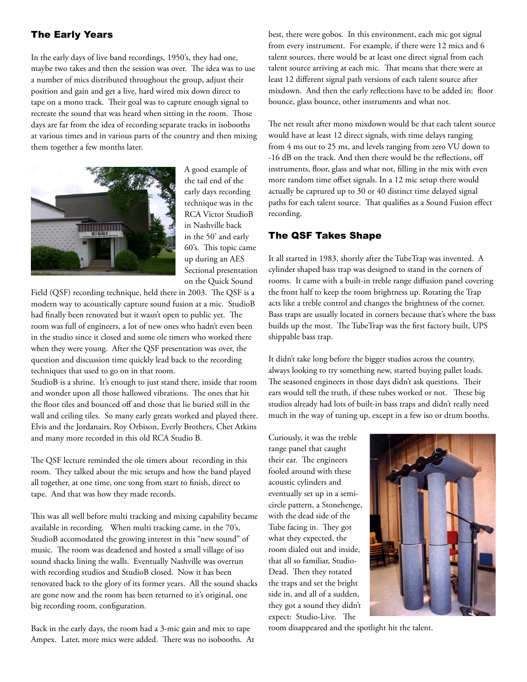## The Early Years

In the early days of live band recordings, 1950's, they had one, maybe two takes and then the session was over. The idea was to use a number of mics distributed throughout the group, adjust their position and gain and get a live, hard wired mix down direct to tape on a mono track. Their goal was to capture enough signal to recreate the sound that was heard when sitting in the room. Those days are far from the idea of recording separate tracks in isobooths at various times and in various parts of the country and then mixing them together a few months later.



A good example of the tail end of the early days recording technique was in the RCA Victor StudioB in Nashville back in the 50' and early 60's. This topic came up during an AES Sectional presentation on the Quick Sound

Field (QSF) recording technique, held there in 2003. The QSF is a modern way to acoustically capture sound fusion at a mic. StudioB had finally been renovated but it wasn't open to public yet. The room was full of engineers, a lot of new ones who hadn't even been in the studio since it closed and some ole timers who worked there when they were young. After the QSF presentation was over, the question and discussion time quickly lead back to the recording techniques that used to go on in that room.

StudioB is a shrine. It's enough to just stand there, inside that room and wonder upon all those hallowed vibrations. The ones that hit the floor tiles and bounced off and those that lie buried still in the wall and ceiling tiles. So many early greats worked and played there. Elvis and the Jordanairs, Roy Orbison, Everly Brothers, Chet Atkins and many more recorded in this old RCA Studio B.

The QSF lecture reminded the ole timers about recording in this room. They talked about the mic setups and how the band played all together, at one time, one song from start to finish, direct to tape. And that was how they made records.

This was all well before multi tracking and mixing capability became available in recording. When multi tracking came, in the 70's, StudioB accomodated the growing interest in this "new sound" of music. The room was deadened and hosted a small village of iso sound shacks lining the walls. Eventually Nashville was overrun with recording studios and StudioB closed. Now it has been renovated back to the glory of its former years. All the sound shacks are gone now and the room has been returned to it's original, one big recording room, configuration.

Back in the early days, the room had a 3-mic gain and mix to tape Ampex. Later, more mics were added. There was no isobooths. At best, there were gobos. In this environment, each mic got signal from every instrument. For example, if there were 12 mics and 6 talent sources, there would be at least one direct signal from each talent source arriving at each mic. That means that there were at least 12 different signal path versions of each talent source after mixdown. And then the early reflections have to be added in; floor bounce, glass bounce, other instruments and what not.

The net result after mono mixdown would be that each talent source would have at least 12 direct signals, with time delays ranging from 4 ms out to 25 ms, and levels ranging from zero VU down to -16 dB on the track. And then there would be the reflections, off instruments, floor, glass and what not, filling in the mix with even more random time offset signals. In a 12 mic setup there would actually be captured up to 30 or 40 distinct time delayed signal paths for each talent source. That qualifies as a Sound Fusion effect recording.

#### The QSF Takes Shape

It all started in 1983, shortly after the TubeTrap was invented. A cylinder shaped bass trap was designed to stand in the corners of rooms. It came with a built-in treble range diffusion panel covering the front half to keep the room brightness up. Rotating the Trap acts like a treble control and changes the brightness of the corner. Bass traps are usually located in corners because that's where the bass builds up the most. The TubeTrap was the first factory built, UPS shippable bass trap.

It didn't take long before the bigger studios across the country, always looking to try something new, started buying pallet loads. The seasoned engineers in those days didn't ask questions. Their ears would tell the truth, if these tubes worked or not. These big studios already had lots of built-in bass traps and didn't really need much in the way of tuning up, except in a few iso or drum booths.

Curiously, it was the treble range panel that caught their ear. The engineers fooled around with these acoustic cylinders and eventually set up in a semicircle pattern, a Stonehenge, with the dead side of the Tube facing in. They got what they expected, the room dialed out and inside, that all so familiar, Studio-Dead. Then they rotated the traps and set the bright side in, and all of a sudden, they got a sound they didn't expect: Studio-Live. The



room disappeared and the spotlight hit the talent.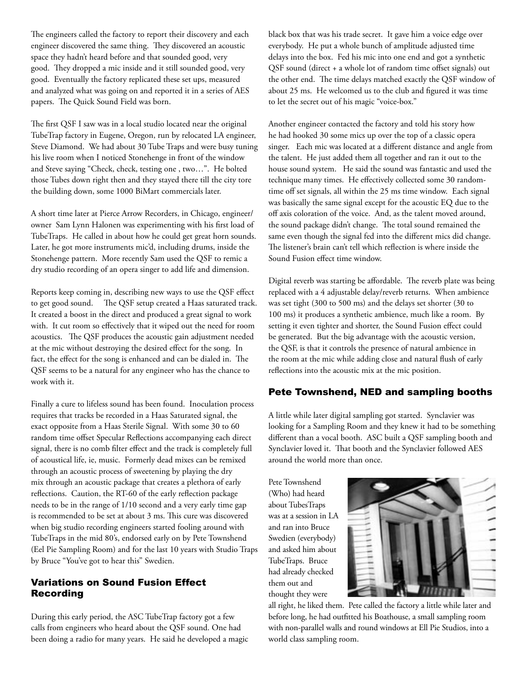The engineers called the factory to report their discovery and each engineer discovered the same thing. They discovered an acoustic space they hadn't heard before and that sounded good, very good. They dropped a mic inside and it still sounded good, very good. Eventually the factory replicated these set ups, measured and analyzed what was going on and reported it in a series of AES papers. The Quick Sound Field was born.

The first QSF I saw was in a local studio located near the original TubeTrap factory in Eugene, Oregon, run by relocated LA engineer, Steve Diamond. We had about 30 Tube Traps and were busy tuning his live room when I noticed Stonehenge in front of the window and Steve saying "Check, check, testing one , two…". He bolted those Tubes down right then and they stayed there till the city tore the building down, some 1000 BiMart commercials later.

A short time later at Pierce Arrow Recorders, in Chicago, engineer/ owner Sam Lynn Halonen was experimenting with his first load of TubeTraps. He called in about how he could get great horn sounds. Later, he got more instruments mic'd, including drums, inside the Stonehenge pattern. More recently Sam used the QSF to remic a dry studio recording of an opera singer to add life and dimension.

Reports keep coming in, describing new ways to use the QSF effect to get good sound. The QSF setup created a Haas saturated track. It created a boost in the direct and produced a great signal to work with. It cut room so effectively that it wiped out the need for room acoustics. The QSF produces the acoustic gain adjustment needed at the mic without destroying the desired effect for the song. In fact, the effect for the song is enhanced and can be dialed in. The QSF seems to be a natural for any engineer who has the chance to work with it.

Finally a cure to lifeless sound has been found. Inoculation process requires that tracks be recorded in a Haas Saturated signal, the exact opposite from a Haas Sterile Signal. With some 30 to 60 random time offset Specular Reflections accompanying each direct signal, there is no comb filter effect and the track is completely full of acoustical life, ie, music. Formerly dead mixes can be remixed through an acoustic process of sweetening by playing the dry mix through an acoustic package that creates a plethora of early reflections. Caution, the RT-60 of the early reflection package needs to be in the range of 1/10 second and a very early time gap is recommended to be set at about 3 ms. This cure was discovered when big studio recording engineers started fooling around with TubeTraps in the mid 80's, endorsed early on by Pete Townshend (Eel Pie Sampling Room) and for the last 10 years with Studio Traps by Bruce "You've got to hear this" Swedien.

# Variations on Sound Fusion Effect Recording

During this early period, the ASC TubeTrap factory got a few calls from engineers who heard about the QSF sound. One had been doing a radio for many years. He said he developed a magic black box that was his trade secret. It gave him a voice edge over everybody. He put a whole bunch of amplitude adjusted time delays into the box. Fed his mic into one end and got a synthetic QSF sound (direct + a whole lot of random time offset signals) out the other end. The time delays matched exactly the QSF window of about 25 ms. He welcomed us to the club and figured it was time to let the secret out of his magic "voice-box."

Another engineer contacted the factory and told his story how he had hooked 30 some mics up over the top of a classic opera singer. Each mic was located at a different distance and angle from the talent. He just added them all together and ran it out to the house sound system. He said the sound was fantastic and used the technique many times. He effectively collected some 30 randomtime off set signals, all within the 25 ms time window. Each signal was basically the same signal except for the acoustic EQ due to the off axis coloration of the voice. And, as the talent moved around, the sound package didn't change. The total sound remained the same even though the signal fed into the different mics did change. The listener's brain can't tell which reflection is where inside the Sound Fusion effect time window.

Digital reverb was starting be affordable. The reverb plate was being replaced with a 4 adjustable delay/reverb returns. When ambience was set tight (300 to 500 ms) and the delays set shorter (30 to 100 ms) it produces a synthetic ambience, much like a room. By setting it even tighter and shorter, the Sound Fusion effect could be generated. But the big advantage with the acoustic version, the QSF, is that it controls the presence of natural ambience in the room at the mic while adding close and natural flush of early reflections into the acoustic mix at the mic position.

## Pete Townshend, NED and sampling booths

A little while later digital sampling got started. Synclavier was looking for a Sampling Room and they knew it had to be something different than a vocal booth. ASC built a QSF sampling booth and Synclavier loved it. That booth and the Synclavier followed AES around the world more than once.

Pete Townshend (Who) had heard about TubesTraps was at a session in LA and ran into Bruce Swedien (everybody) and asked him about TubeTraps. Bruce had already checked them out and thought they were



all right, he liked them. Pete called the factory a little while later and before long, he had outfitted his Boathouse, a small sampling room with non-parallel walls and round windows at Ell Pie Studios, into a world class sampling room.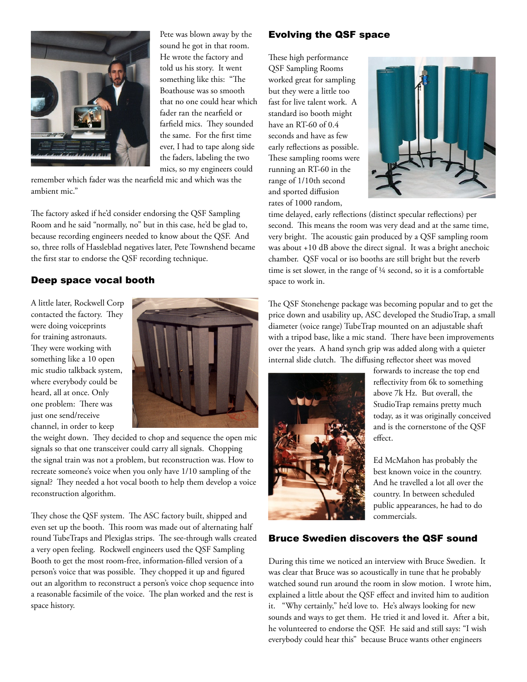

Pete was blown away by the sound he got in that room. He wrote the factory and told us his story. It went something like this: "The Boathouse was so smooth that no one could hear which fader ran the nearfield or farfield mics. They sounded the same. For the first time ever, I had to tape along side the faders, labeling the two mics, so my engineers could

remember which fader was the nearfield mic and which was the ambient mic."

The factory asked if he'd consider endorsing the QSF Sampling Room and he said "normally, no" but in this case, he'd be glad to, because recording engineers needed to know about the QSF. And so, three rolls of Hassleblad negatives later, Pete Townshend became the first star to endorse the QSF recording technique.

# Deep space vocal booth

A little later, Rockwell Corp contacted the factory. They were doing voiceprints for training astronauts. They were working with something like a 10 open mic studio talkback system, where everybody could be heard, all at once. Only one problem: There was just one send/receive channel, in order to keep



the weight down. They decided to chop and sequence the open mic signals so that one transceiver could carry all signals. Chopping the signal train was not a problem, but reconstruction was. How to recreate someone's voice when you only have 1/10 sampling of the signal? They needed a hot vocal booth to help them develop a voice reconstruction algorithm.

They chose the QSF system. The ASC factory built, shipped and even set up the booth. This room was made out of alternating half round TubeTraps and Plexiglas strips. The see-through walls created a very open feeling. Rockwell engineers used the QSF Sampling Booth to get the most room-free, information-filled version of a person's voice that was possible. They chopped it up and figured out an algorithm to reconstruct a person's voice chop sequence into a reasonable facsimile of the voice. The plan worked and the rest is space history.

#### Evolving the QSF space

These high performance QSF Sampling Rooms worked great for sampling but they were a little too fast for live talent work. A standard iso booth might have an RT-60 of 0.4 seconds and have as few early reflections as possible. These sampling rooms were running an RT-60 in the range of 1/10th second and sported diffusion rates of 1000 random,



time delayed, early reflections (distinct specular reflections) per second. This means the room was very dead and at the same time, very bright. The acoustic gain produced by a QSF sampling room was about +10 dB above the direct signal. It was a bright anechoic chamber. QSF vocal or iso booths are still bright but the reverb time is set slower, in the range of ¼ second, so it is a comfortable space to work in.

The QSF Stonehenge package was becoming popular and to get the price down and usability up, ASC developed the StudioTrap, a small diameter (voice range) TubeTrap mounted on an adjustable shaft with a tripod base, like a mic stand. There have been improvements over the years. A hand synch grip was added along with a quieter internal slide clutch. The diffusing reflector sheet was moved



forwards to increase the top end reflectivity from 6k to something above 7k Hz. But overall, the StudioTrap remains pretty much today, as it was originally conceived and is the cornerstone of the QSF effect.

Ed McMahon has probably the best known voice in the country. And he travelled a lot all over the country. In between scheduled public appearances, he had to do commercials.

#### Bruce Swedien discovers the QSF sound

During this time we noticed an interview with Bruce Swedien. It was clear that Bruce was so acoustically in tune that he probably watched sound run around the room in slow motion. I wrote him, explained a little about the QSF effect and invited him to audition it. "Why certainly," he'd love to. He's always looking for new sounds and ways to get them. He tried it and loved it. After a bit, he volunteered to endorse the QSF. He said and still says: "I wish everybody could hear this" because Bruce wants other engineers